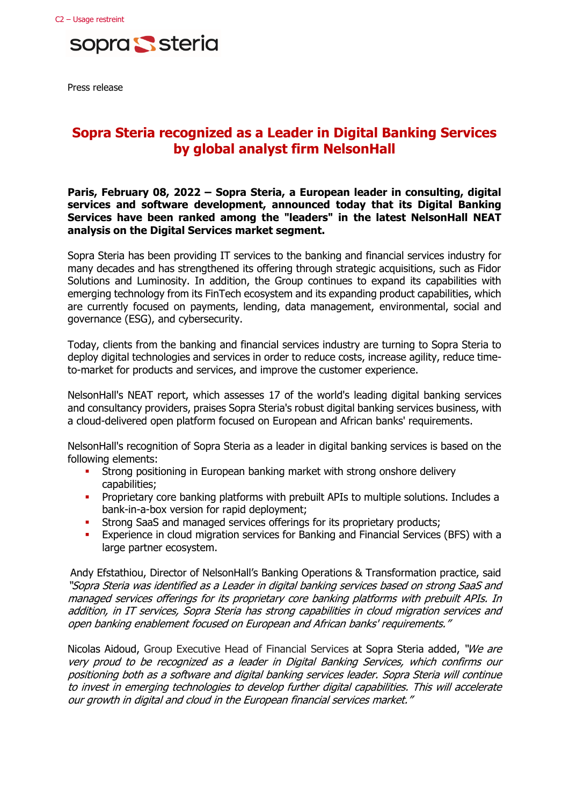

Press release

# **Sopra Steria recognized as a Leader in Digital Banking Services by global analyst firm NelsonHall**

**Paris, February 08, 2022 – Sopra Steria, a European leader in consulting, digital services and software development, announced today that its Digital Banking Services have been ranked among the "leaders" in the latest NelsonHall NEAT analysis on the Digital Services market segment.**

Sopra Steria has been providing IT services to the banking and financial services industry for many decades and has strengthened its offering through strategic acquisitions, such as Fidor Solutions and Luminosity. In addition, the Group continues to expand its capabilities with emerging technology from its FinTech ecosystem and its expanding product capabilities, which are currently focused on payments, lending, data management, environmental, social and governance (ESG), and cybersecurity.

Today, clients from the banking and financial services industry are turning to Sopra Steria to deploy digital technologies and services in order to reduce costs, increase agility, reduce timeto-market for products and services, and improve the customer experience.

NelsonHall's NEAT report, which assesses 17 of the world's leading digital banking services and consultancy providers, praises Sopra Steria's robust digital banking services business, with a cloud-delivered open platform focused on European and African banks' requirements.

NelsonHall's recognition of Sopra Steria as a leader in digital banking services is based on the following elements:

- **•** Strong positioning in European banking market with strong onshore delivery capabilities;
- **•** Proprietary core banking platforms with prebuilt APIs to multiple solutions. Includes a bank-in-a-box version for rapid deployment;
- **EXECTE Strong SaaS and managed services offerings for its proprietary products;**
- **Experience in cloud migration services for Banking and Financial Services (BFS) with a** large partner ecosystem.

Andy Efstathiou, Director of NelsonHall's Banking Operations & Transformation practice, said "Sopra Steria was identified as a Leader in digital banking services based on strong SaaS and managed services offerings for its proprietary core banking platforms with prebuilt APIs. In addition, in IT services, Sopra Steria has strong capabilities in cloud migration services and open banking enablement focused on European and African banks' requirements."

Nicolas Aidoud, Group Executive Head of Financial Services at Sopra Steria added, "We are very proud to be recognized as a leader in Digital Banking Services, which confirms our positioning both as a software and digital banking services leader. Sopra Steria will continue to invest in emerging technologies to develop further digital capabilities. This will accelerate our growth in digital and cloud in the European financial services market."